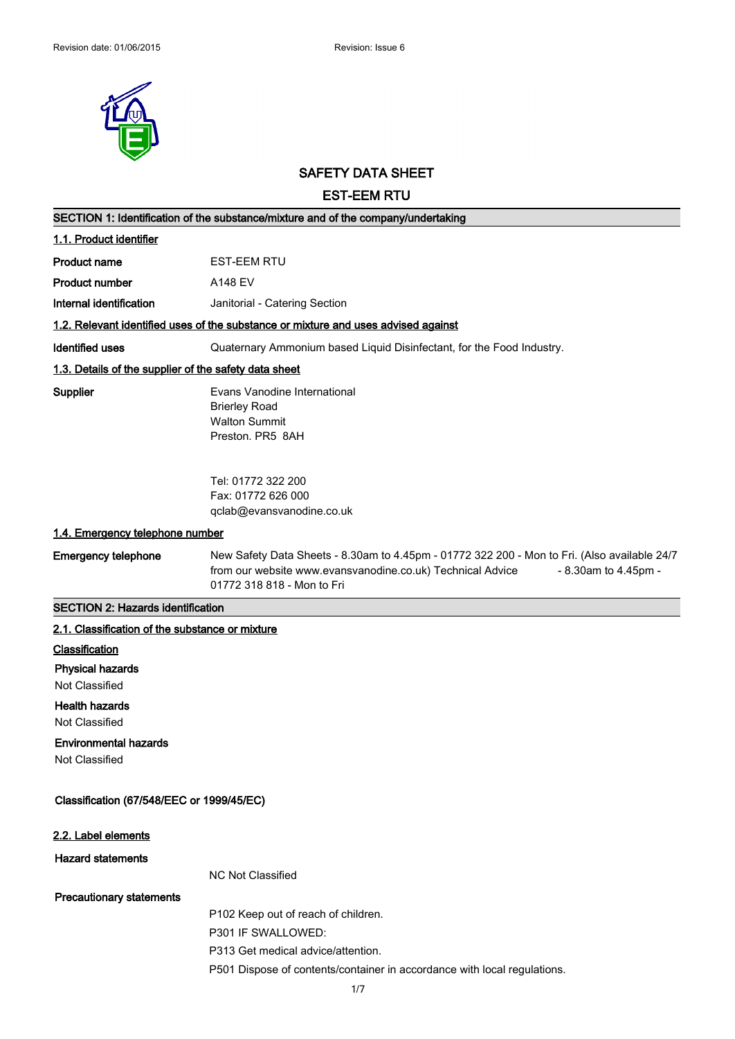

# **SAFETY DATA SHEET**

**EST-EEM RTU**

| SECTION 1: Identification of the substance/mixture and of the company/undertaking  |                                                                                                                                                                                                                  |  |
|------------------------------------------------------------------------------------|------------------------------------------------------------------------------------------------------------------------------------------------------------------------------------------------------------------|--|
| 1.1. Product identifier                                                            |                                                                                                                                                                                                                  |  |
| <b>Product name</b>                                                                | <b>EST-EEM RTU</b>                                                                                                                                                                                               |  |
| <b>Product number</b>                                                              | A148 EV                                                                                                                                                                                                          |  |
| Internal identification                                                            | Janitorial - Catering Section                                                                                                                                                                                    |  |
| 1.2. Relevant identified uses of the substance or mixture and uses advised against |                                                                                                                                                                                                                  |  |
| <b>Identified uses</b>                                                             | Quaternary Ammonium based Liquid Disinfectant, for the Food Industry.                                                                                                                                            |  |
| 1.3. Details of the supplier of the safety data sheet                              |                                                                                                                                                                                                                  |  |
| Supplier                                                                           | Evans Vanodine International<br><b>Brierley Road</b><br><b>Walton Summit</b><br>Preston, PR5 8AH                                                                                                                 |  |
|                                                                                    | Tel: 01772 322 200<br>Fax: 01772 626 000<br>qclab@evansvanodine.co.uk                                                                                                                                            |  |
| 1.4. Emergency telephone number                                                    |                                                                                                                                                                                                                  |  |
| <b>Emergency telephone</b>                                                         | New Safety Data Sheets - 8.30am to 4.45pm - 01772 322 200 - Mon to Fri. (Also available 24/7<br>from our website www.evansvanodine.co.uk) Technical Advice<br>- 8.30am to 4.45pm -<br>01772 318 818 - Mon to Fri |  |
| <b>SECTION 2: Hazards identification</b>                                           |                                                                                                                                                                                                                  |  |
| 2.1. Classification of the substance or mixture                                    |                                                                                                                                                                                                                  |  |
| Classification                                                                     |                                                                                                                                                                                                                  |  |
| <b>Physical hazards</b>                                                            |                                                                                                                                                                                                                  |  |
| Not Classified                                                                     |                                                                                                                                                                                                                  |  |
| <b>Health hazards</b><br><b>Not Classified</b>                                     |                                                                                                                                                                                                                  |  |
| <b>Environmental hazards</b>                                                       |                                                                                                                                                                                                                  |  |
| Not Classified                                                                     |                                                                                                                                                                                                                  |  |
| Classification (67/548/EEC or 1999/45/EC)                                          |                                                                                                                                                                                                                  |  |
| 2.2. Label elements                                                                |                                                                                                                                                                                                                  |  |
| <b>Hazard statements</b>                                                           |                                                                                                                                                                                                                  |  |
|                                                                                    | <b>NC Not Classified</b>                                                                                                                                                                                         |  |
| <b>Precautionary statements</b>                                                    |                                                                                                                                                                                                                  |  |
|                                                                                    | P102 Keep out of reach of children.                                                                                                                                                                              |  |
|                                                                                    | P301 IF SWALLOWED:                                                                                                                                                                                               |  |
|                                                                                    | P313 Get medical advice/attention.                                                                                                                                                                               |  |
|                                                                                    | P501 Dispose of contents/container in accordance with local regulations.                                                                                                                                         |  |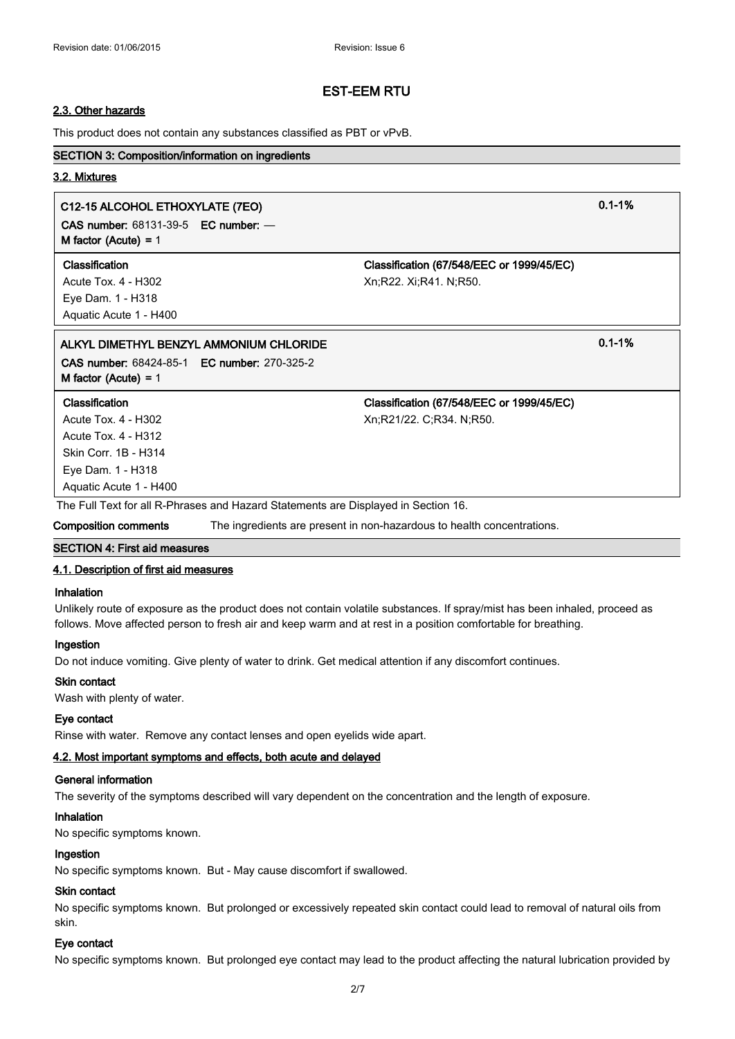#### **2.3. Other hazards**

This product does not contain any substances classified as PBT or vPvB.

#### **SECTION 3: Composition/information on ingredients**

#### **3.2. Mixtures**

## **C12-15 ALCOHOL ETHOXYLATE (7EO) 0.1-1%**

**CAS number:** 68131-39-5 **EC number:** — **M factor (Acute) =** 1

Eye Dam. 1 - H318 Aquatic Acute 1 - H400

**Classification Classification (67/548/EEC or 1999/45/EC)** Acute Tox. 4 - H302 Xn;R22. Xi;R41. N;R50.

## **ALKYL DIMETHYL BENZYL AMMONIUM CHLORIDE 0.1-1% CAS number:** 68424-85-1 **EC number:** 270-325-2

**M factor (Acute) =** 1

#### **Classification Classification (67/548/EEC or 1999/45/EC)**

Acute Tox. 4 - H302 Xn;R21/22. C;R34. N;R50. Acute Tox. 4 - H312 Skin Corr. 1B - H314 Eye Dam. 1 - H318 Aquatic Acute 1 - H400

The Full Text for all R-Phrases and Hazard Statements are Displayed in Section 16.

**Composition comments** The ingredients are present in non-hazardous to health concentrations.

#### **SECTION 4: First aid measures**

#### **4.1. Description of first aid measures**

#### **Inhalation**

Unlikely route of exposure as the product does not contain volatile substances. If spray/mist has been inhaled, proceed as follows. Move affected person to fresh air and keep warm and at rest in a position comfortable for breathing.

#### **Ingestion**

Do not induce vomiting. Give plenty of water to drink. Get medical attention if any discomfort continues.

#### **Skin contact**

Wash with plenty of water.

#### **Eye contact**

Rinse with water. Remove any contact lenses and open eyelids wide apart.

## **4.2. Most important symptoms and effects, both acute and delayed**

## **General information**

The severity of the symptoms described will vary dependent on the concentration and the length of exposure.

#### **Inhalation**

No specific symptoms known.

#### **Ingestion**

No specific symptoms known. But - May cause discomfort if swallowed.

#### **Skin contact**

No specific symptoms known. But prolonged or excessively repeated skin contact could lead to removal of natural oils from skin.

## **Eye contact**

No specific symptoms known. But prolonged eye contact may lead to the product affecting the natural lubrication provided by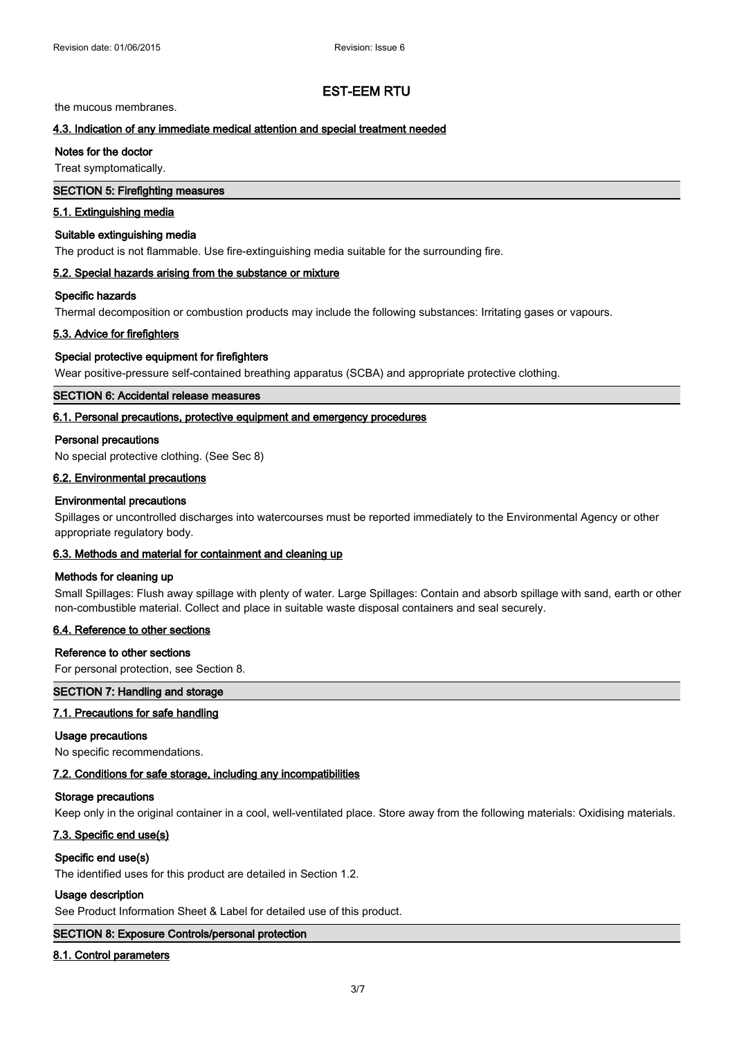## $\blacksquare$  EST-EEM RTU product affecting the product may lead to the product affecting the natural lubrication provided by  $\blacksquare$

the mucous membranes.

## **4.3. Indication of any immediate medical attention and special treatment needed**

#### **Notes for the doctor**

Treat symptomatically.

## **SECTION 5: Firefighting measures**

# **5.1. Extinguishing media**

## **Suitable extinguishing media**

The product is not flammable. Use fire-extinguishing media suitable for the surrounding fire.

#### **5.2. Special hazards arising from the substance or mixture**

## **Specific hazards**

Thermal decomposition or combustion products may include the following substances: Irritating gases or vapours.

#### **5.3. Advice for firefighters**

#### **Special protective equipment for firefighters**

Wear positive-pressure self-contained breathing apparatus (SCBA) and appropriate protective clothing.

## **SECTION 6: Accidental release measures**

#### **6.1. Personal precautions, protective equipment and emergency procedures**

#### **Personal precautions**

No special protective clothing. (See Sec 8)

#### **6.2. Environmental precautions**

#### **Environmental precautions**

Spillages or uncontrolled discharges into watercourses must be reported immediately to the Environmental Agency or other appropriate regulatory body.

#### **6.3. Methods and material for containment and cleaning up**

#### **Methods for cleaning up**

Small Spillages: Flush away spillage with plenty of water. Large Spillages: Contain and absorb spillage with sand, earth or other non-combustible material. Collect and place in suitable waste disposal containers and seal securely.

#### **6.4. Reference to other sections**

## **Reference to other sections**

For personal protection, see Section 8.

#### **SECTION 7: Handling and storage**

#### **7.1. Precautions for safe handling**

#### **Usage precautions**

No specific recommendations.

#### **7.2. Conditions for safe storage, including any incompatibilities**

#### **Storage precautions**

Keep only in the original container in a cool, well-ventilated place. Store away from the following materials: Oxidising materials.

## **7.3. Specific end use(s)**

#### **Specific end use(s)**

The identified uses for this product are detailed in Section 1.2.

#### **Usage description**

See Product Information Sheet & Label for detailed use of this product.

## **SECTION 8: Exposure Controls/personal protection**

#### **8.1. Control parameters**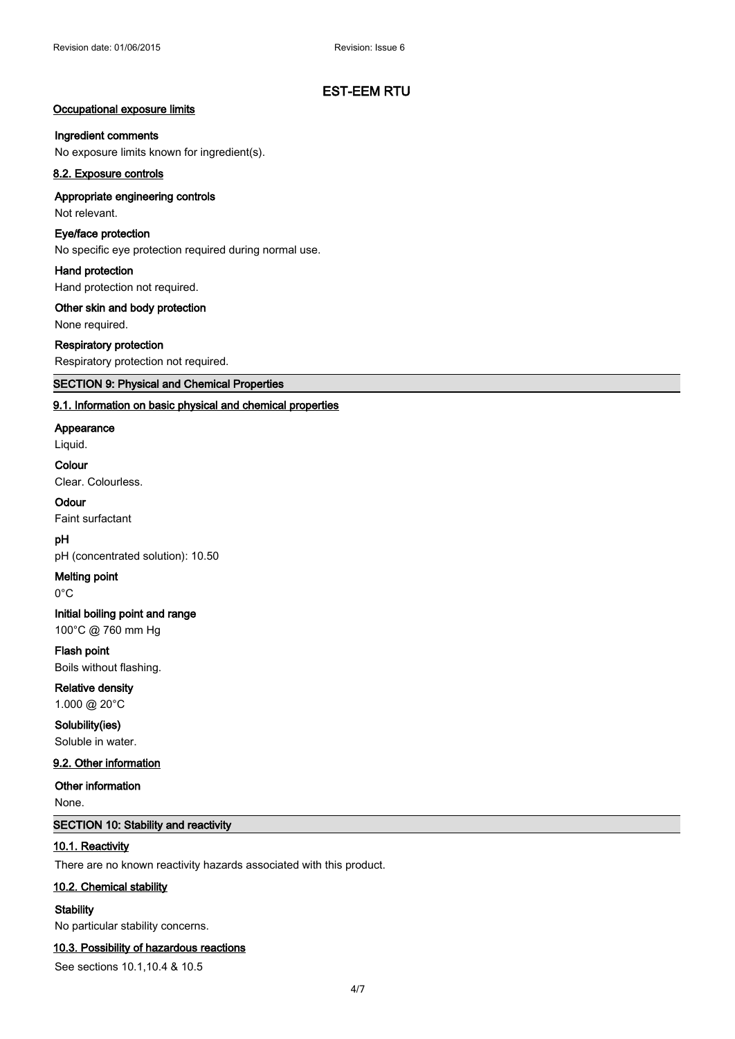#### **Occupational exposure limits**

#### **Ingredient comments**

No exposure limits known for ingredient(s).

## **8.2. Exposure controls**

## **Appropriate engineering controls** Not relevant.

**Eye/face protection**

No specific eye protection required during normal use.

#### **Hand protection**

Hand protection not required.

#### **Other skin and body protection**

None required.

## **Respiratory protection**

Respiratory protection not required.

## **SECTION 9: Physical and Chemical Properties**

## **9.1. Information on basic physical and chemical properties**

#### **Appearance**

Liquid.

#### **Colour**

Clear. Colourless.

#### **Odour**

Faint surfactant

## **pH**

pH (concentrated solution): 10.50

#### **Melting point**

0°C

# **Initial boiling point and range**

100°C @ 760 mm Hg

## **Flash point**

Boils without flashing.

# **Relative density**

1.000 @ 20°C

## **Solubility(ies)**

Soluble in water.

## **9.2. Other information**

#### **Other information**

None.

## **SECTION 10: Stability and reactivity**

## **10.1. Reactivity**

There are no known reactivity hazards associated with this product.

#### **10.2. Chemical stability**

**Stability**

No particular stability concerns.

#### **10.3. Possibility of hazardous reactions**

See sections 10.1,10.4 & 10.5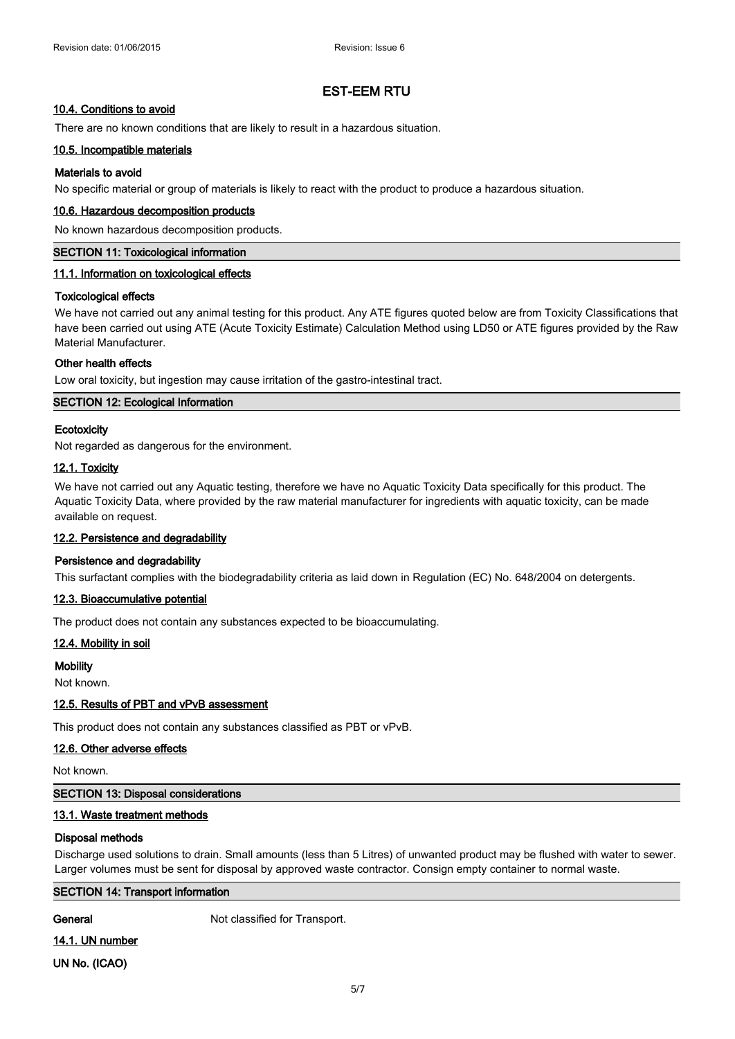## **10.4. Conditions to avoid**

There are no known conditions that are likely to result in a hazardous situation.

## **10.5. Incompatible materials**

## **Materials to avoid**

No specific material or group of materials is likely to react with the product to produce a hazardous situation.

## **10.6. Hazardous decomposition products**

No known hazardous decomposition products.

#### **SECTION 11: Toxicological information**

## **11.1. Information on toxicological effects**

## **Toxicological effects**

We have not carried out any animal testing for this product. Any ATE figures quoted below are from Toxicity Classifications that have been carried out using ATE (Acute Toxicity Estimate) Calculation Method using LD50 or ATE figures provided by the Raw Material Manufacturer.

## **Other health effects**

Low oral toxicity, but ingestion may cause irritation of the gastro-intestinal tract.

## **SECTION 12: Ecological Information**

## **Ecotoxicity**

Not regarded as dangerous for the environment.

## **12.1. Toxicity**

We have not carried out any Aquatic testing, therefore we have no Aquatic Toxicity Data specifically for this product. The Aquatic Toxicity Data, where provided by the raw material manufacturer for ingredients with aquatic toxicity, can be made available on request.

## **12.2. Persistence and degradability**

## **Persistence and degradability**

This surfactant complies with the biodegradability criteria as laid down in Regulation (EC) No. 648/2004 on detergents.

## **12.3. Bioaccumulative potential**

The product does not contain any substances expected to be bioaccumulating.

## **12.4. Mobility in soil**

#### **Mobility**

Not known.

## **12.5. Results of PBT and vPvB assessment**

This product does not contain any substances classified as PBT or vPvB.

## **12.6. Other adverse effects**

Not known.

## **SECTION 13: Disposal considerations**

## **13.1. Waste treatment methods**

## **Disposal methods**

Discharge used solutions to drain. Small amounts (less than 5 Litres) of unwanted product may be flushed with water to sewer. Larger volumes must be sent for disposal by approved waste contractor. Consign empty container to normal waste.

## **SECTION 14: Transport information**

**General** Not classified for Transport.

**14.1. UN number UN No. (ICAO)**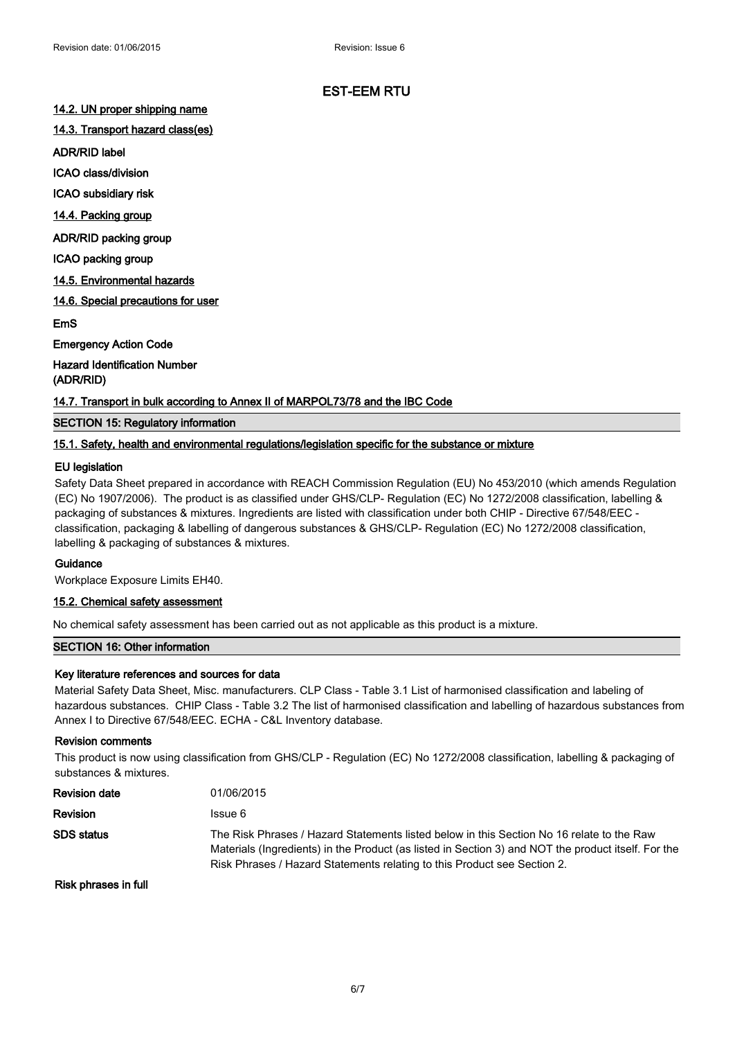#### **14.2. UN proper shipping name**

**14.3. Transport hazard class(es)**

**ADR/RID label**

**ICAO class/division**

**ICAO subsidiary risk**

**14.4. Packing group**

**ADR/RID packing group**

**ICAO packing group**

**14.5. Environmental hazards**

**14.6. Special precautions for user**

**EmS**

**Emergency Action Code**

**Hazard Identification Number (ADR/RID)**

#### **14.7. Transport in bulk according to Annex II of MARPOL73/78 and the IBC Code**

## **SECTION 15: Regulatory information**

#### **15.1. Safety, health and environmental regulations/legislation specific for the substance or mixture**

#### **EU legislation**

Safety Data Sheet prepared in accordance with REACH Commission Regulation (EU) No 453/2010 (which amends Regulation (EC) No 1907/2006). The product is as classified under GHS/CLP- Regulation (EC) No 1272/2008 classification, labelling & packaging of substances & mixtures. Ingredients are listed with classification under both CHIP - Directive 67/548/EEC classification, packaging & labelling of dangerous substances & GHS/CLP- Regulation (EC) No 1272/2008 classification, labelling & packaging of substances & mixtures.

## **Guidance**

Workplace Exposure Limits EH40.

#### **15.2. Chemical safety assessment**

No chemical safety assessment has been carried out as not applicable as this product is a mixture.

#### **SECTION 16: Other information**

#### **Key literature references and sources for data**

Material Safety Data Sheet, Misc. manufacturers. CLP Class - Table 3.1 List of harmonised classification and labeling of hazardous substances. CHIP Class - Table 3.2 The list of harmonised classification and labelling of hazardous substances from Annex I to Directive 67/548/EEC. ECHA - C&L Inventory database.

#### **Revision comments**

This product is now using classification from GHS/CLP - Regulation (EC) No 1272/2008 classification, labelling & packaging of substances & mixtures.

| Revision date | 01/06/2015                                                                                                                                                                                                                                                                   |
|---------------|------------------------------------------------------------------------------------------------------------------------------------------------------------------------------------------------------------------------------------------------------------------------------|
| Revision      | Issue 6                                                                                                                                                                                                                                                                      |
| SDS status    | The Risk Phrases / Hazard Statements listed below in this Section No 16 relate to the Raw<br>Materials (Ingredients) in the Product (as listed in Section 3) and NOT the product itself. For the<br>Risk Phrases / Hazard Statements relating to this Product see Section 2. |

**Risk phrases in full**